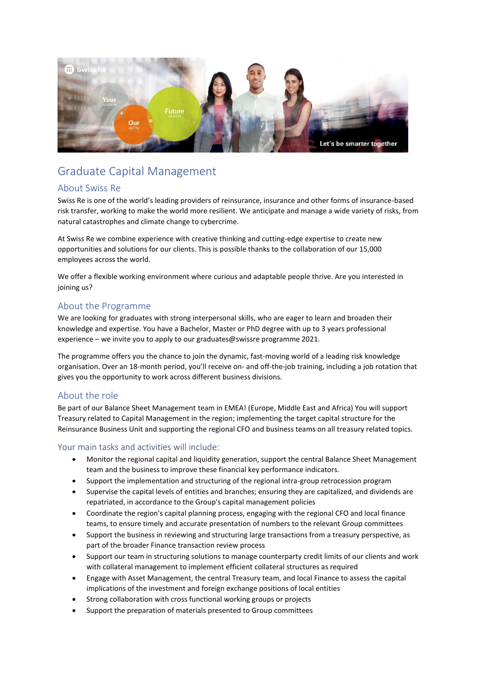

# Graduate Capital Management

### About Swiss Re

Swiss Re is one of the world's leading providers of reinsurance, insurance and other forms of insurance-based risk transfer, working to make the world more resilient. We anticipate and manage a wide variety of risks, from natural catastrophes and climate change to cybercrime.

At Swiss Re we combine experience with creative thinking and cutting-edge expertise to create new opportunities and solutions for our clients. This is possible thanks to the collaboration of our 15,000 employees across the world.

We offer a flexible working environment where curious and adaptable people thrive. Are you interested in joining us?

### About the Programme

We are looking for graduates with strong interpersonal skills, who are eager to learn and broaden their knowledge and expertise. You have a Bachelor, Master or PhD degree with up to 3 years professional experience – we invite you to apply to our graduates@swissre programme 2021.

The programme offers you the chance to join the dynamic, fast-moving world of a leading risk knowledge organisation. Over an 18-month period, you'll receive on- and off-the-job training, including a job rotation that gives you the opportunity to work across different business divisions.

### About the role

Be part of our Balance Sheet Management team in EMEA! (Europe, Middle East and Africa) You will support Treasury related to Capital Management in the region; implementing the target capital structure for the Reinsurance Business Unit and supporting the regional CFO and business teams on all treasury related topics.

### Your main tasks and activities will include:

- Monitor the regional capital and liquidity generation, support the central Balance Sheet Management team and the business to improve these financial key performance indicators.
- Support the implementation and structuring of the regional intra-group retrocession program
- Supervise the capital levels of entities and branches; ensuring they are capitalized, and dividends are repatriated, in accordance to the Group's capital management policies
- Coordinate the region's capital planning process, engaging with the regional CFO and local finance teams, to ensure timely and accurate presentation of numbers to the relevant Group committees
- Support the business in reviewing and structuring large transactions from a treasury perspective, as part of the broader Finance transaction review process
- Support our team in structuring solutions to manage counterparty credit limits of our clients and work with collateral management to implement efficient collateral structures as required
- Engage with Asset Management, the central Treasury team, and local Finance to assess the capital implications of the investment and foreign exchange positions of local entities
- Strong collaboration with cross functional working groups or projects
- Support the preparation of materials presented to Group committees